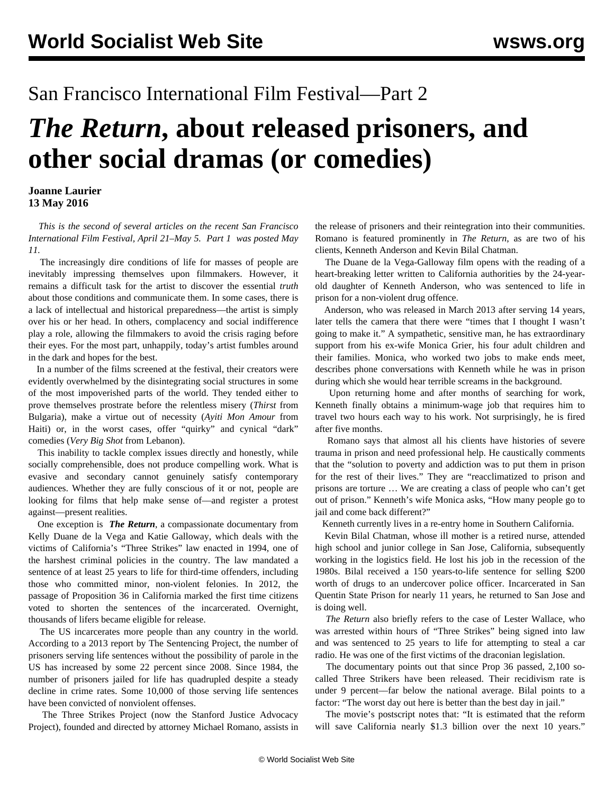## San Francisco International Film Festival—Part 2

## *The Return***, about released prisoners, and other social dramas (or comedies)**

## **Joanne Laurier 13 May 2016**

 *This is the second of several articles on the recent San Francisco International Film Festival, April 21–May 5. [Part 1](/en/articles/2016/05/11/sff1-m11.html) was posted May 11.*

 The increasingly dire conditions of life for masses of people are inevitably impressing themselves upon filmmakers. However, it remains a difficult task for the artist to discover the essential *truth* about those conditions and communicate them. In some cases, there is a lack of intellectual and historical preparedness––the artist is simply over his or her head. In others, complacency and social indifference play a role, allowing the filmmakers to avoid the crisis raging before their eyes. For the most part, unhappily, today's artist fumbles around in the dark and hopes for the best.

 In a number of the films screened at the festival, their creators were evidently overwhelmed by the disintegrating social structures in some of the most impoverished parts of the world. They tended either to prove themselves prostrate before the relentless misery (*Thirst* from Bulgaria), make a virtue out of necessity (*Ayiti Mon Amour* from Haiti) or, in the worst cases, offer "quirky" and cynical "dark" comedies (*Very Big Shot* from Lebanon).

 This inability to tackle complex issues directly and honestly, while socially comprehensible, does not produce compelling work. What is evasive and secondary cannot genuinely satisfy contemporary audiences. Whether they are fully conscious of it or not, people are looking for films that help make sense of––and register a protest against––present realities.

 One exception is *The Return*, a compassionate documentary from Kelly Duane de la Vega and Katie Galloway, which deals with the victims of California's "Three Strikes" law enacted in 1994, one of the harshest criminal policies in the country. The law mandated a sentence of at least 25 years to life for third-time offenders, including those who committed minor, non-violent felonies. In 2012, the passage of Proposition 36 in California marked the first time citizens voted to shorten the sentences of the incarcerated. Overnight, thousands of lifers became eligible for release.

 The US incarcerates more people than any country in the world. According to a 2013 report by The Sentencing Project, the number of prisoners serving life sentences without the possibility of parole in the US has increased by some 22 percent since 2008. Since 1984, the number of prisoners jailed for life has quadrupled despite a steady decline in crime rates. Some 10,000 of those serving life sentences have been convicted of nonviolent offenses.

 The Three Strikes Project (now the Stanford Justice Advocacy Project), founded and directed by attorney Michael Romano, assists in the release of prisoners and their reintegration into their communities. Romano is featured prominently in *The Return*, as are two of his clients, Kenneth Anderson and Kevin Bilal Chatman.

 The Duane de la Vega-Galloway film opens with the reading of a heart-breaking letter written to California authorities by the 24-yearold daughter of Kenneth Anderson, who was sentenced to life in prison for a non-violent drug offence.

 Anderson, who was released in March 2013 after serving 14 years, later tells the camera that there were "times that I thought I wasn't going to make it." A sympathetic, sensitive man, he has extraordinary support from his ex-wife Monica Grier, his four adult children and their families. Monica, who worked two jobs to make ends meet, describes phone conversations with Kenneth while he was in prison during which she would hear terrible screams in the background.

 Upon returning home and after months of searching for work, Kenneth finally obtains a minimum-wage job that requires him to travel two hours each way to his work. Not surprisingly, he is fired after five months.

 Romano says that almost all his clients have histories of severe trauma in prison and need professional help. He caustically comments that the "solution to poverty and addiction was to put them in prison for the rest of their lives." They are "reacclimatized to prison and prisons are torture … We are creating a class of people who can't get out of prison." Kenneth's wife Monica asks, "How many people go to jail and come back different?"

Kenneth currently lives in a re-entry home in Southern California.

 Kevin Bilal Chatman, whose ill mother is a retired nurse, attended high school and junior college in San Jose, California, subsequently working in the logistics field. He lost his job in the recession of the 1980s. Bilal received a 150 years-to-life sentence for selling \$200 worth of drugs to an undercover police officer. Incarcerated in San Quentin State Prison for nearly 11 years, he returned to San Jose and is doing well.

 *The Return* also briefly refers to the case of Lester Wallace, who was arrested within hours of "Three Strikes" being signed into law and was sentenced to 25 years to life for attempting to steal a car radio. He was one of the first victims of the draconian legislation.

 The documentary points out that since Prop 36 passed, 2,100 socalled Three Strikers have been released. Their recidivism rate is under 9 percent––far below the national average. Bilal points to a factor: "The worst day out here is better than the best day in jail."

 The movie's postscript notes that: "It is estimated that the reform will save California nearly \$1.3 billion over the next 10 years."